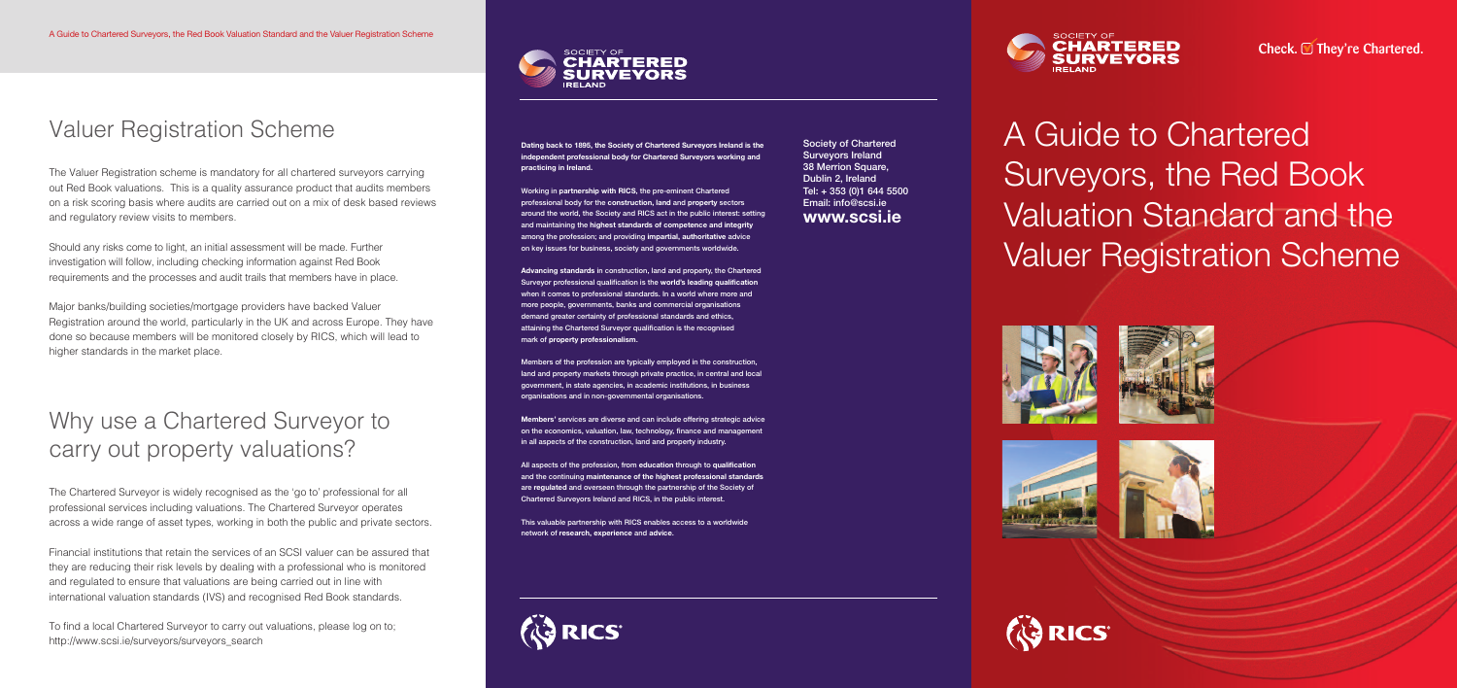# A Guide to Chartered Surveyors, the Red Book Valuation Standard and the Valuer Registration Scheme











# Valuer Registration Scheme

The Valuer Registration scheme is mandatory for all chartered surveyors carrying out Red Book valuations. This is a quality assurance product that audits members on a risk scoring basis where audits are carried out on a mix of desk based reviews and regulatory review visits to members.

Should any risks come to light, an initial assessment will be made. Further investigation will follow, including checking information against Red Book requirements and the processes and audit trails that members have in place.

Major banks/building societies/mortgage providers have backed Valuer Registration around the world, particularly in the UK and across Europe. They have done so because members will be monitored closely by RICS, which will lead to higher standards in the market place.

## Why use a Chartered Surveyor to carry out property valuations?

The Chartered Surveyor is widely recognised as the 'go to' professional for all professional services including valuations. The Chartered Surveyor operates across a wide range of asset types, working in both the public and private sectors.

Financial institutions that retain the services of an SCSI valuer can be assured that they are reducing their risk levels by dealing with a professional who is monitored and regulated to ensure that valuations are being carried out in line with international valuation standards (IVS) and recognised Red Book standards.

To find a local Chartered Surveyor to carry out valuations, please log on to; http://www.scsi.ie/surveyors/surveyors\_search

**Dating back to 1895, the Society of Chartered Surveyors Ireland is the independent professional body for Chartered Surveyors working and practicing in Ireland.**

**Working in partnership with RICS, the pre-eminent Chartered professional body for the construction, land and property sectors around the world, the Society and RICS act in the public interest: setting and maintaining the highest standards of competence and integrity among the profession; and providing impartial, authoritative advice on key issues for business, society and governments worldwide.**

**Advancing standards in construction, land and property, the Chartered Surveyor professional qualification is the world's leading qualification when it comes to professional standards. In a world where more and more people, governments, banks and commercial organisations demand greater certainty of professional standards and ethics, attaining the Chartered Surveyor qualification is the recognised mark of property professionalism.**

**Members of the profession are typically employed in the construction, land and property markets through private practice, in central and local government, in state agencies, in academic institutions, in business organisations and in non-governmental organisations.**

**Members' services are diverse and can include offering strategic advice on the economics, valuation, law, technology, finance and management in all aspects of the construction, land and property industry.**

**All aspects of the profession, from education through to qualification and the continuing maintenance of the highest professional standards are regulated and overseen through the partnership of the Society of Chartered Surveyors Ireland and RICS, in the public interest.**

**This valuable partnership with RICS enables access to a worldwide network of research, experience and advice.**



**Society of Chartered Surveyors Ireland 38 Merrion Square, Dublin 2, Ireland Tel: + 353 (0)1 644 5500 Email: info@scsi.ie www.scsi.ie**









Check. **■ They're Chartered.**